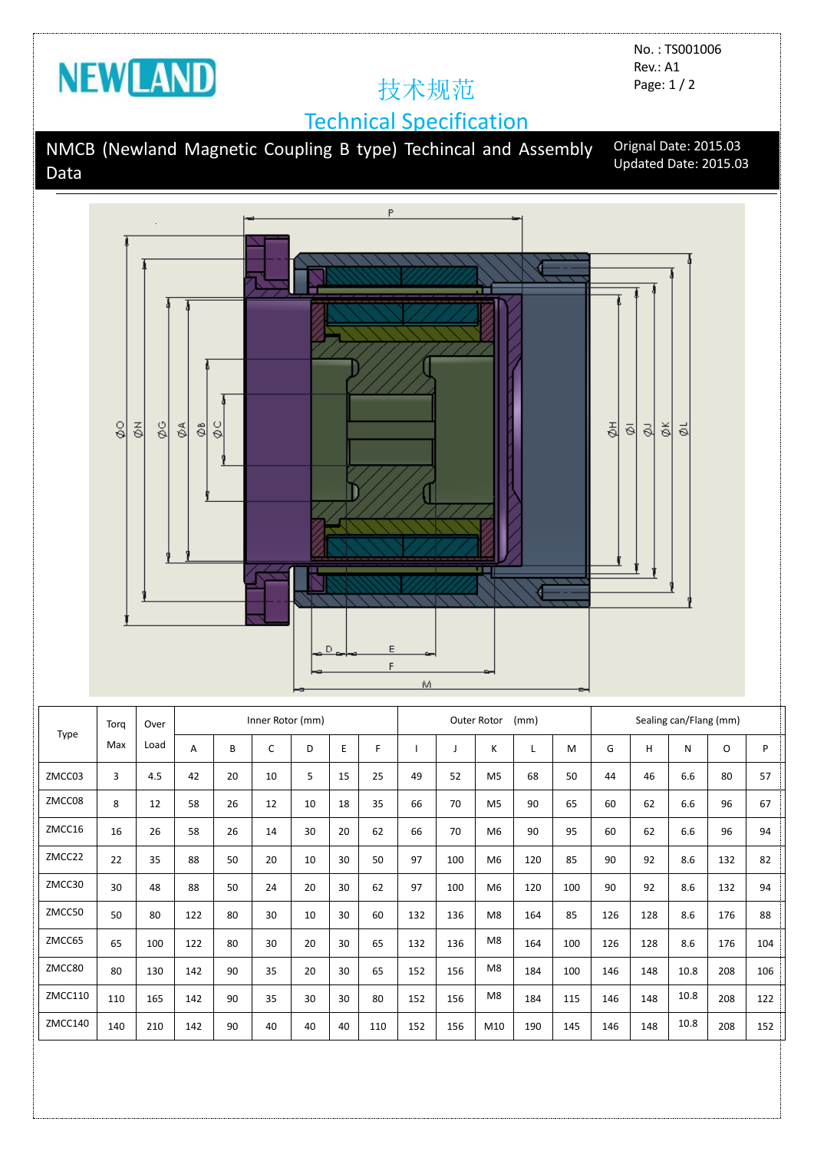

No. : TS001006 Rev.: A1 Page: 1 / 2

## Technical Specification

NMCB (Newland Magnetic Coupling B type) Techincal and Assembly Data Orignal Date: 2015.03 Updated Date: 2015.03



| Type    | Torg<br>Max | Over<br>Load | Inner Rotor (mm) |    |    |    |    |     | Outer Rotor<br>(mm) |     |                |     |     | Sealing can/Flang (mm) |     |      |     |     |
|---------|-------------|--------------|------------------|----|----|----|----|-----|---------------------|-----|----------------|-----|-----|------------------------|-----|------|-----|-----|
|         |             |              | A                | B  | C  | D  | E  | F.  |                     |     | K              |     | M   | G                      | H   | N    | O   | P   |
| ZMCC03  | 3           | 4.5          | 42               | 20 | 10 | 5  | 15 | 25  | 49                  | 52  | M <sub>5</sub> | 68  | 50  | 44                     | 46  | 6.6  | 80  | 57  |
| ZMCC08  | 8           | 12           | 58               | 26 | 12 | 10 | 18 | 35  | 66                  | 70  | M <sub>5</sub> | 90  | 65  | 60                     | 62  | 6.6  | 96  | 67  |
| ZMCC16  | 16          | 26           | 58               | 26 | 14 | 30 | 20 | 62  | 66                  | 70  | M <sub>6</sub> | 90  | 95  | 60                     | 62  | 6.6  | 96  | 94  |
| ZMCC22  | 22          | 35           | 88               | 50 | 20 | 10 | 30 | 50  | 97                  | 100 | M <sub>6</sub> | 120 | 85  | 90                     | 92  | 8.6  | 132 | 82  |
| ZMCC30  | 30          | 48           | 88               | 50 | 24 | 20 | 30 | 62  | 97                  | 100 | M <sub>6</sub> | 120 | 100 | 90                     | 92  | 8.6  | 132 | 94  |
| ZMCC50  | 50          | 80           | 122              | 80 | 30 | 10 | 30 | 60  | 132                 | 136 | M <sub>8</sub> | 164 | 85  | 126                    | 128 | 8.6  | 176 | 88  |
| ZMCC65  | 65          | 100          | 122              | 80 | 30 | 20 | 30 | 65  | 132                 | 136 | M <sub>8</sub> | 164 | 100 | 126                    | 128 | 8.6  | 176 | 104 |
| ZMCC80  | 80          | 130          | 142              | 90 | 35 | 20 | 30 | 65  | 152                 | 156 | M8             | 184 | 100 | 146                    | 148 | 10.8 | 208 | 106 |
| ZMCC110 | 110         | 165          | 142              | 90 | 35 | 30 | 30 | 80  | 152                 | 156 | M8             | 184 | 115 | 146                    | 148 | 10.8 | 208 | 122 |
| ZMCC140 | 140         | 210          | 142              | 90 | 40 | 40 | 40 | 110 | 152                 | 156 | M10            | 190 | 145 | 146                    | 148 | 10.8 | 208 | 152 |